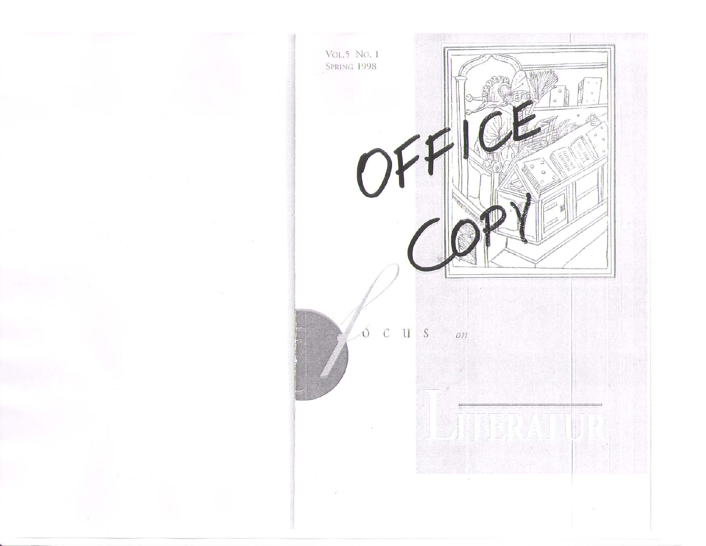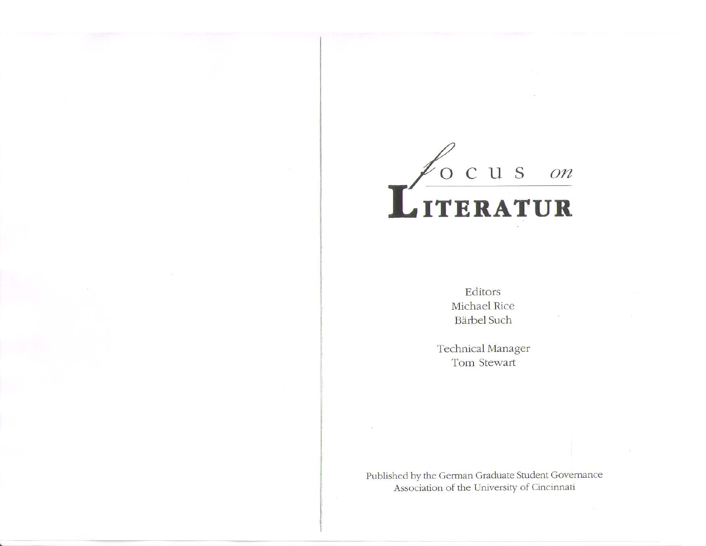

Editors Michael Rice Barbel Such

Technical Manager Tom Stewart

Published by the German Graduate Student Governance Association of the University of Cincinnati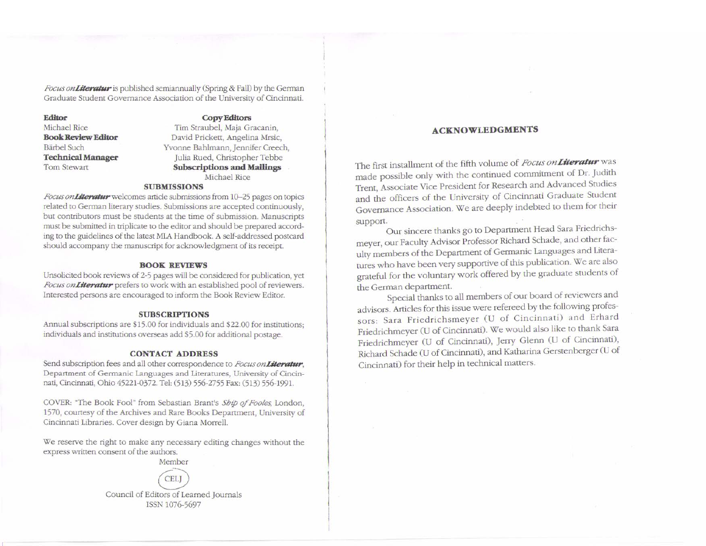*Focus on Literatur* is published semiannually (Spring & Fall) by the German Graduate Srudem Governance Association of the Universiry of Cincinnati

#### Editor

Michael Rice Book Review Editor Barbel Such Technical Manager Tom Stewart

#### **Copy Editors**

Tim Straubel, Maja Gracanin, David Prickett, Angelina Mrsic, Yvonne Bahlmann, Jennifer Creech, Julia Rued, Christopher Tebbe Subscriptions and Mailings Michael Rice

#### SUBMISSIONS

Focus on Literatur welcomes article submissions from 10-25 pages on topics related to German literary studies. Submissions are accepted continuously, but contributors must be students at the time of submission. Manuscripts must be submitted in triplicate to the editor and should be prepared according to the guidelines of the latest MLA Handbook. A self-addressed postcard should accompany the manuscript for acknowledgment of its receipt.

#### BOOK REVIEWS

Unsolicited book reviews of 2·5 pages will be considered for publication, yet Focus onLiteratur prefers to work with an established pool of reviewers. Interested persons are encouraged to inform the Book Review Editor.

#### SUBSCKlPTIONS

Annual subscriptions are \$15.00 for individuals and \$22.00 for institutions; individuals and institutions overseas add \$5.00 for additional postage.

#### CONTACT ADDRESS

Send subscription fees and all other correspondence to *Focus onLiteratur*, Department of Germanic Languages and Literatures, University of Cincinnati, Cincinnati, Ohio 45221-0372. Tel: (513) 556-2755 Fax: (513) 556-1991.

COVER: "The Book from Sebastian Bram's *Sbip of Foo/es,* London, 1570, courtesy of the Archives and Rare Books Department, University of Cincinnati Libraries. Cover design by Giana Morrell.

We reserve the right to make any necessary editing changes without the express written consent of the authors. Member



### ACKNOWLEDGMENTS

The first installment of the fifth volume of Focus on Literatur was made possible only with the continued commitment of Dr. Judith Trent, Associate Vice President for Research and Advanced Studies and the officers of the University of Cincinnati Graduate Student Governance Association. We are deeply indebted to them for their support.

Our sincere thanks go to Department Head Sara meyer, our Faculty Advisor Professor Richard Schade, and ulty members of the Department of Germanic Languages and Literatures who have been very supportive of this publication. We are also grateful for the voluntary work offered by the graduate students of the German department.

Special thanks to all members of our board of reviewers and advisors. Articles for this issue were refereed by the following professors: Sara Friedrichsmeyer (U of Cincinnati) and Erhard Friedrichmeyer (U of Cincinnati). We would also like 10 thank Sara Friedrichmeyer (U of Cincinnati), Jerry Glenn (U of Cincinnati), Richard Schade (U of Cincinnati), and Katharina Gerstenberger (U of Cincinnati) for their help in technical matters.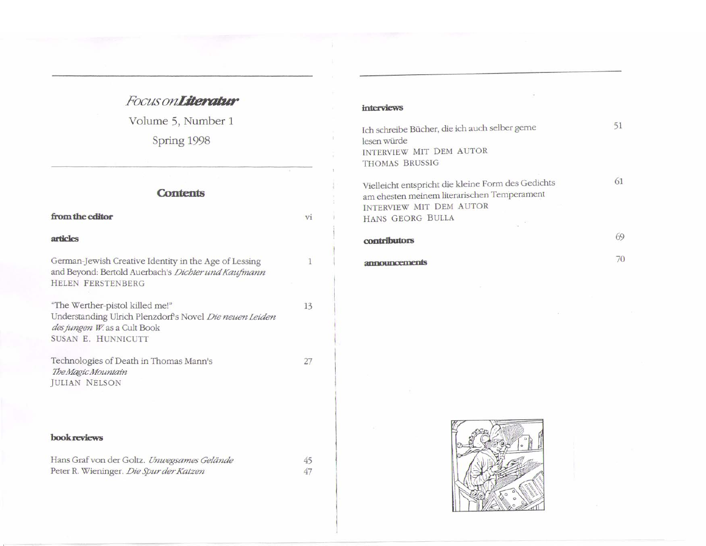# Focus onLiteratur

Volume 5, Number 1

Spring 1998

| <b>Contents</b>                                                                                                                                  |              |  |
|--------------------------------------------------------------------------------------------------------------------------------------------------|--------------|--|
| from the editor                                                                                                                                  | vi.          |  |
| articles                                                                                                                                         |              |  |
| German-Jewish Creative Identity in the Age of Lessing<br>and Beyond: Bertold Auerbach's Dichter und Kaufmann<br><b>HELEN FERSTENBERG</b>         | $\mathbf{1}$ |  |
| "The Werther-pistol killed me!"<br>Understanding Ulrich Plenzdorf's Novel Die neuen Leiden<br>des jungen W. as a Cult Book<br>SUSAN E. HUNNICUTT | 13           |  |
| Technologies of Death in Thomas Mann's<br>The Magic Mountain<br><b>JULIAN NELSON</b>                                                             | 27           |  |
| book reviews                                                                                                                                     |              |  |
| Hans Graf von der Goltz. Unwegsames Gelände<br>Peter R. Wieninger. Die Spur der Katzen                                                           | 45<br>47     |  |

## interviews

 $\bar{\alpha}$ 

| Ich schreibe Bücher, die ich auch selber gerne                                                                                                   |  |
|--------------------------------------------------------------------------------------------------------------------------------------------------|--|
| lesen würde<br>INTERVIEW MIT DEM AUTOR<br>THOMAS BRUSSIG                                                                                         |  |
| Vielleicht entspricht die kleine Form des Gedichts<br>am ehesten meinem literarischen Temperament<br>INTERVIEW MIT DEM AUTOR<br>HANS GEORG BULLA |  |
| contributors                                                                                                                                     |  |
| announcements                                                                                                                                    |  |

 $\tilde{\Xi}$